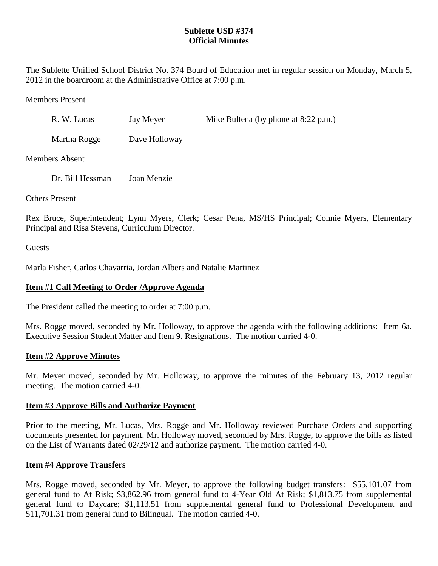## **Sublette USD #374 Official Minutes**

The Sublette Unified School District No. 374 Board of Education met in regular session on Monday, March 5, 2012 in the boardroom at the Administrative Office at 7:00 p.m.

Members Present

| R. W. Lucas  | Jay Meyer     | Mike Bultena (by phone at $8:22$ p.m.) |
|--------------|---------------|----------------------------------------|
| Martha Rogge | Dave Holloway |                                        |

Members Absent

Dr. Bill Hessman Joan Menzie

Others Present

Rex Bruce, Superintendent; Lynn Myers, Clerk; Cesar Pena, MS/HS Principal; Connie Myers, Elementary Principal and Risa Stevens, Curriculum Director.

**Guests** 

Marla Fisher, Carlos Chavarria, Jordan Albers and Natalie Martinez

## **Item #1 Call Meeting to Order /Approve Agenda**

The President called the meeting to order at 7:00 p.m.

Mrs. Rogge moved, seconded by Mr. Holloway, to approve the agenda with the following additions: Item 6a. Executive Session Student Matter and Item 9. Resignations. The motion carried 4-0.

## **Item #2 Approve Minutes**

Mr. Meyer moved, seconded by Mr. Holloway, to approve the minutes of the February 13, 2012 regular meeting. The motion carried 4-0.

### **Item #3 Approve Bills and Authorize Payment**

Prior to the meeting, Mr. Lucas, Mrs. Rogge and Mr. Holloway reviewed Purchase Orders and supporting documents presented for payment. Mr. Holloway moved, seconded by Mrs. Rogge, to approve the bills as listed on the List of Warrants dated 02/29/12 and authorize payment. The motion carried 4-0.

### **Item #4 Approve Transfers**

Mrs. Rogge moved, seconded by Mr. Meyer, to approve the following budget transfers: \$55,101.07 from general fund to At Risk; \$3,862.96 from general fund to 4-Year Old At Risk; \$1,813.75 from supplemental general fund to Daycare; \$1,113.51 from supplemental general fund to Professional Development and \$11,701.31 from general fund to Bilingual. The motion carried 4-0.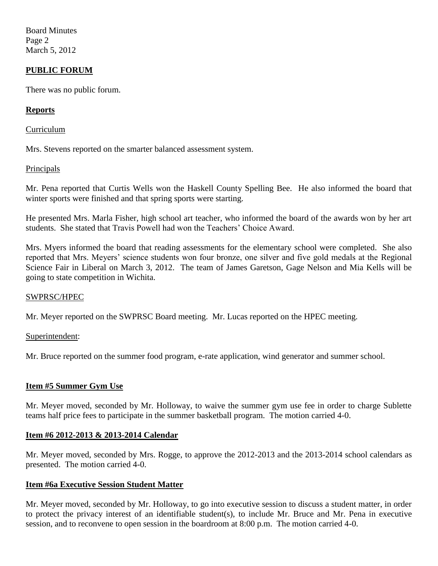Board Minutes Page 2 March 5, 2012

## **PUBLIC FORUM**

There was no public forum.

### **Reports**

Curriculum

Mrs. Stevens reported on the smarter balanced assessment system.

#### **Principals**

Mr. Pena reported that Curtis Wells won the Haskell County Spelling Bee. He also informed the board that winter sports were finished and that spring sports were starting.

He presented Mrs. Marla Fisher, high school art teacher, who informed the board of the awards won by her art students. She stated that Travis Powell had won the Teachers' Choice Award.

Mrs. Myers informed the board that reading assessments for the elementary school were completed. She also reported that Mrs. Meyers' science students won four bronze, one silver and five gold medals at the Regional Science Fair in Liberal on March 3, 2012. The team of James Garetson, Gage Nelson and Mia Kells will be going to state competition in Wichita.

### SWPRSC/HPEC

Mr. Meyer reported on the SWPRSC Board meeting. Mr. Lucas reported on the HPEC meeting.

#### Superintendent:

Mr. Bruce reported on the summer food program, e-rate application, wind generator and summer school.

### **Item #5 Summer Gym Use**

Mr. Meyer moved, seconded by Mr. Holloway, to waive the summer gym use fee in order to charge Sublette teams half price fees to participate in the summer basketball program. The motion carried 4-0.

### **Item #6 2012-2013 & 2013-2014 Calendar**

Mr. Meyer moved, seconded by Mrs. Rogge, to approve the 2012-2013 and the 2013-2014 school calendars as presented. The motion carried 4-0.

#### **Item #6a Executive Session Student Matter**

Mr. Meyer moved, seconded by Mr. Holloway, to go into executive session to discuss a student matter, in order to protect the privacy interest of an identifiable student(s), to include Mr. Bruce and Mr. Pena in executive session, and to reconvene to open session in the boardroom at 8:00 p.m. The motion carried 4-0.